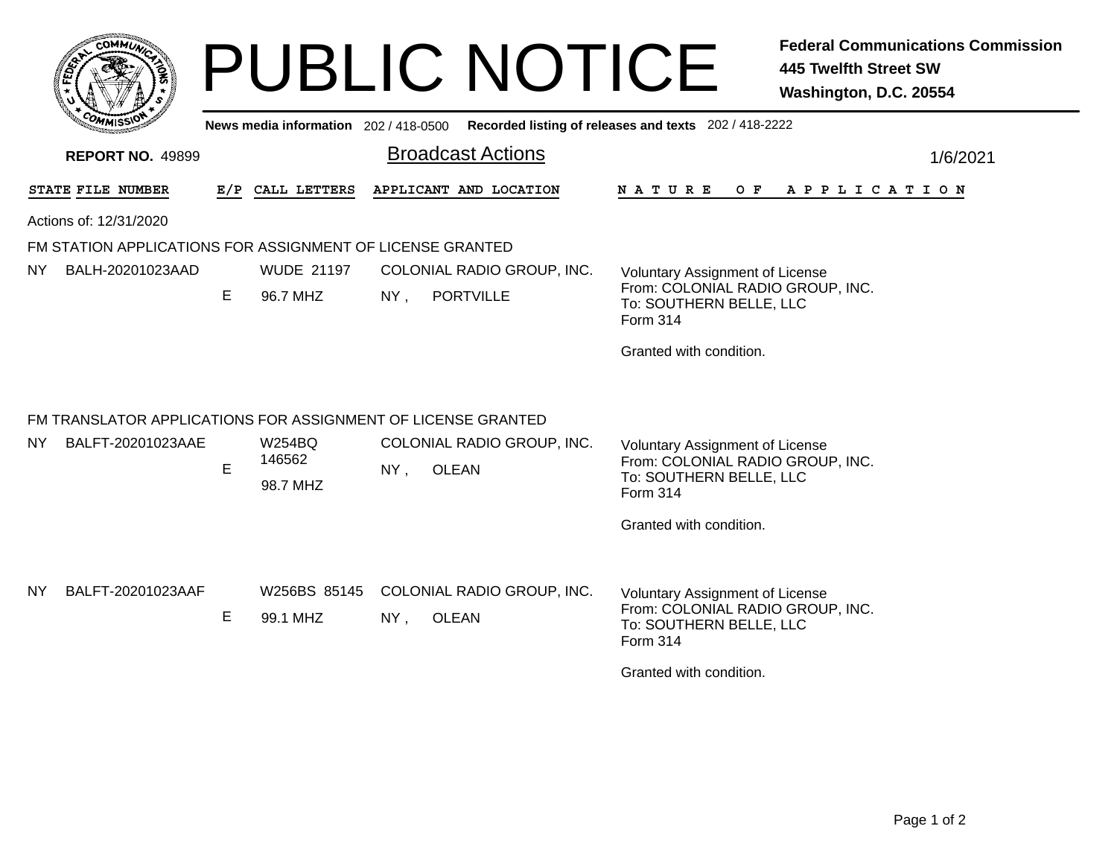| <b>COMMUT</b>                                                                            |    |                                     | <b>PUBLIC NOTICE</b><br>News media information 202 / 418-0500 Recorded listing of releases and texts 202 / 418-2222 | <b>Federal Communications Commission</b><br><b>445 Twelfth Street SW</b><br>Washington, D.C. 20554                                           |
|------------------------------------------------------------------------------------------|----|-------------------------------------|---------------------------------------------------------------------------------------------------------------------|----------------------------------------------------------------------------------------------------------------------------------------------|
| <b>REPORT NO. 49899</b>                                                                  |    |                                     | <b>Broadcast Actions</b>                                                                                            | 1/6/2021                                                                                                                                     |
| STATE FILE NUMBER<br>Actions of: 12/31/2020                                              |    | E/P CALL LETTERS                    | APPLICANT AND LOCATION                                                                                              | N A T U R E<br>O F<br>A P P L I C A T I O N                                                                                                  |
| FM STATION APPLICATIONS FOR ASSIGNMENT OF LICENSE GRANTED<br>BALH-20201023AAD<br>NY.     | Е  | <b>WUDE 21197</b><br>96.7 MHZ       | COLONIAL RADIO GROUP, INC.<br>$NY$ ,<br><b>PORTVILLE</b>                                                            | <b>Voluntary Assignment of License</b><br>From: COLONIAL RADIO GROUP, INC.<br>To: SOUTHERN BELLE, LLC<br>Form 314<br>Granted with condition. |
| FM TRANSLATOR APPLICATIONS FOR ASSIGNMENT OF LICENSE GRANTED<br>BALFT-20201023AAE<br>NY. | E. | <b>W254BQ</b><br>146562<br>98.7 MHZ | COLONIAL RADIO GROUP, INC.<br>$NY$ ,<br>OLEAN                                                                       | <b>Voluntary Assignment of License</b><br>From: COLONIAL RADIO GROUP, INC.<br>To: SOUTHERN BELLE, LLC<br>Form 314<br>Granted with condition. |
| BALFT-20201023AAF<br>NY.                                                                 | Е  | W256BS 85145<br>99.1 MHZ            | COLONIAL RADIO GROUP, INC.<br><b>OLEAN</b><br>$NY$ ,                                                                | <b>Voluntary Assignment of License</b><br>From: COLONIAL RADIO GROUP, INC.<br>To: SOUTHERN BELLE, LLC<br>Form 314<br>Granted with condition. |